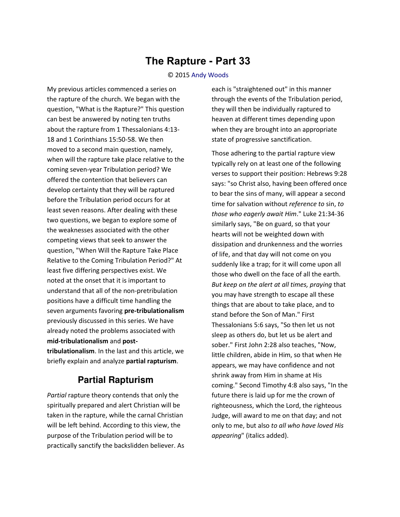## **The Rapture - Part 33**

## © 2015 [Andy Woods](http://www.spiritandtruth.org/id/aw.htm)

My previous articles commenced a series on the rapture of the church. We began with the question, "What is the Rapture?" This question can best be answered by noting ten truths about the rapture from 1 Thessalonians 4:13- 18 and 1 Corinthians 15:50-58. We then moved to a second main question, namely, when will the rapture take place relative to the coming seven-year Tribulation period? We offered the contention that believers can develop certainty that they will be raptured before the Tribulation period occurs for at least seven reasons. After dealing with these two questions, we began to explore some of the weaknesses associated with the other competing views that seek to answer the question, "When Will the Rapture Take Place Relative to the Coming Tribulation Period?" At least five differing perspectives exist. We noted at the onset that it is important to understand that all of the non-pretribulation positions have a difficult time handling the seven arguments favoring **pre-tribulationalism** previously discussed in this series. We have already noted the problems associated with **mid-tribulationalism** and **posttribulationalism**. In the last and this article, we briefly explain and analyze **partial rapturism**.

## **Partial Rapturism**

*Partial* rapture theory contends that only the spiritually prepared and alert Christian will be taken in the rapture, while the carnal Christian will be left behind. According to this view, the purpose of the Tribulation period will be to practically sanctify the backslidden believer. As

each is "straightened out" in this manner through the events of the Tribulation period, they will then be individually raptured to heaven at different times depending upon when they are brought into an appropriate state of progressive sanctification.

Those adhering to the partial rapture view typically rely on at least one of the following verses to support their position: Hebrews 9:28 says: "so Christ also, having been offered once to bear the sins of many, will appear a second time for salvation without *reference to* sin, *to those who eagerly await Him*." Luke 21:34-36 similarly says, "Be on guard, so that your hearts will not be weighted down with dissipation and drunkenness and the worries of life, and that day will not come on you suddenly like a trap; for it will come upon all those who dwell on the face of all the earth. *But keep on the alert at all times, praying* that you may have strength to escape all these things that are about to take place, and to stand before the Son of Man." First Thessalonians 5:6 says, "So then let us not sleep as others do, but let us be alert and sober." First John 2:28 also teaches, "Now, little children, abide in Him, so that when He appears, we may have confidence and not shrink away from Him in shame at His coming." Second Timothy 4:8 also says, "In the future there is laid up for me the crown of righteousness, which the Lord, the righteous Judge, will award to me on that day; and not only to me, but also *to all who have loved His appearing*" (italics added).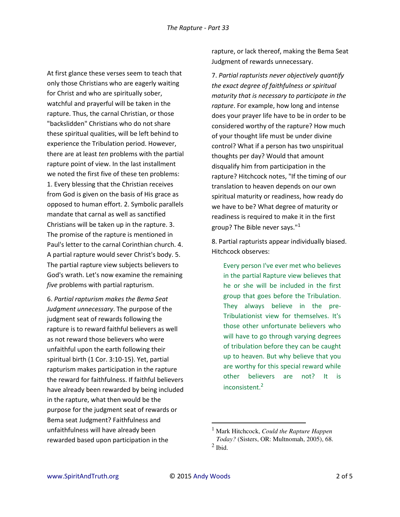At first glance these verses seem to teach that only those Christians who are eagerly waiting for Christ and who are spiritually sober, watchful and prayerful will be taken in the rapture. Thus, the carnal Christian, or those "backslidden" Christians who do not share these spiritual qualities, will be left behind to experience the Tribulation period. However, there are at least *ten* problems with the partial rapture point of view. In the last installment we noted the first five of these ten problems: 1. Every blessing that the Christian receives from God is given on the basis of His grace as opposed to human effort. 2. Symbolic parallels mandate that carnal as well as sanctified Christians will be taken up in the rapture. 3. The promise of the rapture is mentioned in Paul's letter to the carnal Corinthian church. 4. A partial rapture would sever Christ's body. 5. The partial rapture view subjects believers to God's wrath. Let's now examine the remaining *five* problems with partial rapturism.

6. *Partial rapturism makes the Bema Seat Judgment unnecessary*. The purpose of the judgment seat of rewards following the rapture is to reward faithful believers as well as not reward those believers who were unfaithful upon the earth following their spiritual birth (1 Cor. 3:10-15). Yet, partial rapturism makes participation in the rapture the reward for faithfulness. If faithful believers have already been rewarded by being included in the rapture, what then would be the purpose for the judgment seat of rewards or Bema seat Judgment? Faithfulness and unfaithfulness will have already been rewarded based upon participation in the

rapture, or lack thereof, making the Bema Seat Judgment of rewards unnecessary.

7. *Partial rapturists never objectively quantify the exact degree of faithfulness or spiritual maturity that is necessary to participate in the rapture*. For example, how long and intense does your prayer life have to be in order to be considered worthy of the rapture? How much of your thought life must be under divine control? What if a person has two unspiritual thoughts per day? Would that amount disqualify him from participation in the rapture? Hitchcock notes, "If the timing of our translation to heaven depends on our own spiritual maturity or readiness, how ready do we have to be? What degree of maturity or readiness is required to make it in the first group? The Bible never says."<sup>1</sup>

8. Partial rapturists appear individually biased. Hitchcock observes:

Every person I've ever met who believes in the partial Rapture view believes that he or she will be included in the first group that goes before the Tribulation. They always believe in the pre-Tribulationist view for themselves. It's those other unfortunate believers who will have to go through varying degrees of tribulation before they can be caught up to heaven. But why believe that you are worthy for this special reward while other believers are not? It is inconsistent.<sup>2</sup>

l

<sup>1</sup> Mark Hitchcock, *Could the Rapture Happen Today?* (Sisters, OR: Multnomah, 2005), 68.  $<sup>2</sup>$  Ibid.</sup>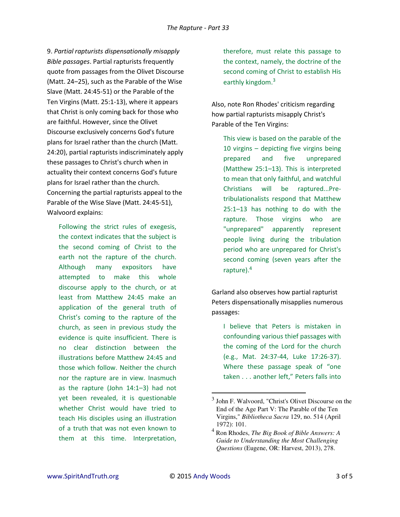9. *Partial rapturists dispensationally misapply Bible passages*. Partial rapturists frequently quote from passages from the Olivet Discourse (Matt. 24–25), such as the Parable of the Wise Slave (Matt. 24:45-51) or the Parable of the Ten Virgins (Matt. 25:1-13), where it appears that Christ is only coming back for those who are faithful. However, since the Olivet Discourse exclusively concerns God's future plans for Israel rather than the church (Matt. 24:20), partial rapturists indiscriminately apply these passages to Christ's church when in actuality their context concerns God's future plans for Israel rather than the church. Concerning the partial rapturists appeal to the Parable of the Wise Slave (Matt. 24:45-51), Walvoord explains:

Following the strict rules of exegesis, the context indicates that the subject is the second coming of Christ to the earth not the rapture of the church. Although many expositors have attempted to make this whole discourse apply to the church, or at least from Matthew 24:45 make an application of the general truth of Christ's coming to the rapture of the church, as seen in previous study the evidence is quite insufficient. There is no clear distinction between the illustrations before Matthew 24:45 and those which follow. Neither the church nor the rapture are in view. Inasmuch as the rapture (John 14:1–3) had not yet been revealed, it is questionable whether Christ would have tried to teach His disciples using an illustration of a truth that was not even known to them at this time. Interpretation,

therefore, must relate this passage to the context, namely, the doctrine of the second coming of Christ to establish His earthly kingdom.<sup>3</sup>

Also, note Ron Rhodes' criticism regarding how partial rapturists misapply Christ's Parable of the Ten Virgins:

This view is based on the parable of the 10 virgins – depicting five virgins being prepared and five unprepared (Matthew 25:1–13). This is interpreted to mean that only faithful, and watchful Christians will be raptured...Pretribulationalists respond that Matthew 25:1–13 has nothing to do with the rapture. Those virgins who are "unprepared" apparently represent people living during the tribulation period who are unprepared for Christ's second coming (seven years after the rapture).<sup>4</sup>

Garland also observes how partial rapturist Peters dispensationally misapplies numerous passages:

I believe that Peters is mistaken in confounding various thief passages with the coming of the Lord for the church (e.g., [Mat. 24:37-44,](http://www.spiritandtruth.org/teaching/37-08.htm) Luke [17:26-37\)](http://www.spiritandtruth.org/bibles/nasb/b42c017.htm#Luke_C17V26). Where these passage speak of "one taken . . . another left," Peters falls into

 $\overline{a}$ 

<sup>&</sup>lt;sup>3</sup> John F. Walvoord, "Christ's Olivet Discourse on the End of the Age Part V: The Parable of the Ten Virgins," *Bibliotheca Sacra* 129, no. 514 (April 1972): 101.

<sup>4</sup> Ron Rhodes, *The Big Book of Bible Answers: A Guide to Understanding the Most Challenging Questions* (Eugene, OR: Harvest, 2013), 278.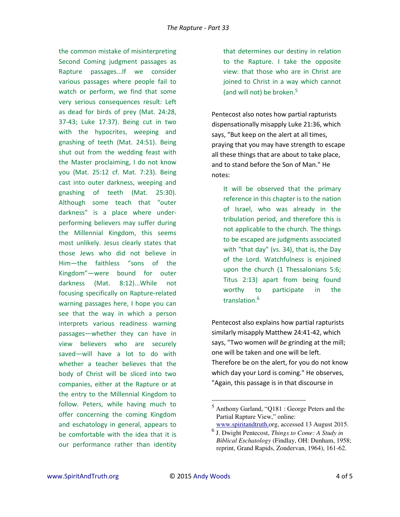the common mistake of misinterpreting Second Coming judgment passages as Rapture passages...If we consider various passages where people fail to watch or perform, we find that some very serious consequences result: Left as dead for birds of prey (Mat. [24:28,](http://www.spiritandtruth.org/bibles/nasb/b40c024.htm#Mat._C24V28) [37-43;](http://www.spiritandtruth.org/bibles/nasb/b40c024.htm#Mat._C24V37) Luke [17:37\)](http://www.spiritandtruth.org/bibles/nasb/b42c017.htm#Luke_C17V37). Being cut in two with the hypocrites, weeping and gnashing of teeth (Mat. [24:51\)](http://www.spiritandtruth.org/bibles/nasb/b40c024.htm#Mat._C24V51). Being shut out from the wedding feast with the Master proclaiming, I do not know you (Mat. [25:12](http://www.spiritandtruth.org/bibles/nasb/b40c025.htm#Mat._C25V12) cf. Mat. [7:23\)](http://www.spiritandtruth.org/bibles/nasb/b40c007.htm#Mat._C7V23). Being cast into outer darkness, weeping and gnashing of teeth (Mat. [25:30\)](http://www.spiritandtruth.org/bibles/nasb/b40c025.htm#Mat._C25V30). Although some teach that "outer darkness" is a place where underperforming believers may suffer during the Millennial Kingdom, this seems most unlikely. Jesus clearly states that those Jews who did not believe in Him-the faithless "sons of the Kingdom"-were bound for outer darkness (Mat. [8:12\)](http://www.spiritandtruth.org/bibles/nasb/b41c008.htm#Mark_C8V12)...While not focusing specifically on Rapture-related warning passages here, I hope you can see that the way in which a person interprets various readiness warning passages—whether they can have in view believers who are securely saved—will have a lot to do with whether a teacher believes that the body of Christ will be sliced into two companies, either at the Rapture or at the entry to the Millennial Kingdom to follow. Peters, while having much to offer concerning the coming Kingdom and eschatology in general, appears to be comfortable with the idea that it is our performance rather than identity that determines our destiny in relation to the Rapture. I take the opposite view: that those who are in Christ are joined to Christ in a way which cannot (and will not) be broken.<sup>5</sup>

Pentecost also notes how partial rapturists dispensationally misapply Luke 21:36, which says, "But keep on the alert at all times, praying that you may have strength to escape all these things that are about to take place, and to stand before the Son of Man." He notes:

It will be observed that the primary reference in this chapter is to the nation of Israel, who was already in the tribulation period, and therefore this is not applicable to the church. The things to be escaped are judgments associated with "that day" (vs. 34), that is, the Day of the Lord. Watchfulness is enjoined upon the church (1 Thessalonians 5:6; Titus 2:13) apart from being found worthy to participate in the translation.<sup>6</sup>

Pentecost also explains how partial rapturists similarly misapply Matthew 24:41-42, which says, "Two women *will be* grinding at the mill; one will be taken and one will be left. Therefore be on the alert, for you do not know which day your Lord is coming." He observes, "Again, this passage is in that discourse in

l

<sup>5</sup> Anthony Garland, "Q181 : George Peters and the Partial Rapture View," online: [www.spiritandtruth.o](http://www.soniclight.com/)rg, accessed 13 August 2015.

<sup>6</sup> J. Dwight Pentecost, *Things to Come: A Study in Biblical Eschatology* (Findlay, OH: Dunham, 1958; reprint, Grand Rapids, Zondervan, 1964), 161-62.